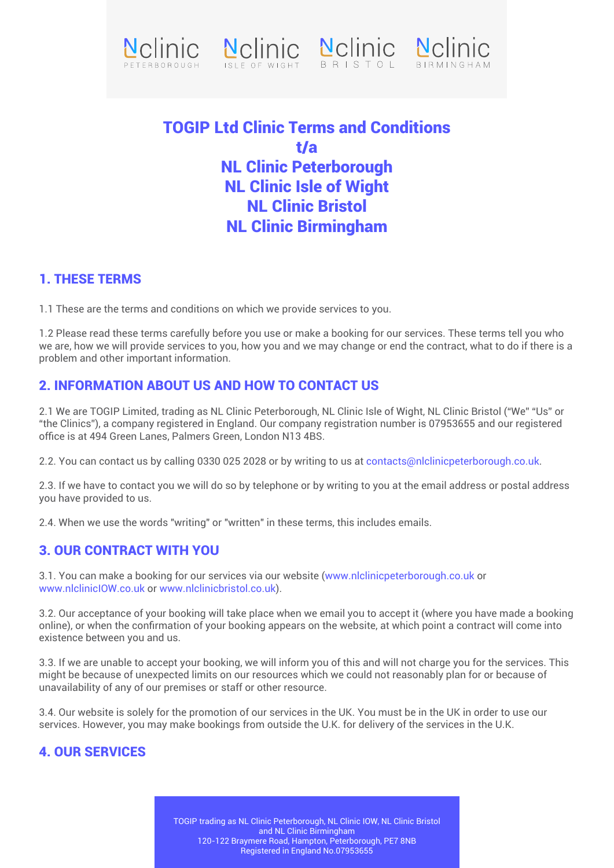





# TOGIP Ltd Clinic Terms and Conditions t/a NL Clinic Peterborough NL Clinic Isle of Wight NL Clinic Bristol NL Clinic Birmingham

#### 1. THESE TERMS

1.1 These are the terms and conditions on which we provide services to you.

1.2 Please read these terms carefully before you use or make a booking for our services. These terms tell you who we are, how we will provide services to you, how you and we may change or end the contract, what to do if there is a problem and other important information.

### 2. INFORMATION ABOUT US AND HOW TO CONTACT US

2.1 We are TOGIP Limited, trading as NL Clinic Peterborough, NL Clinic Isle of Wight, NL Clinic Bristol ("We" "Us" or "the Clinics"), a company registered in England. Our company registration number is 07953655 and our registered office is at 494 Green Lanes, Palmers Green, London N13 4BS.

2.2. You can contact us by calling 0330 025 2028 or by writing to us at contacts@nlclinicpeterborough.co.uk.

2.3. If we have to contact you we will do so by telephone or by writing to you at the email address or postal address you have provided to us.

2.4. When we use the words "writing" or "written" in these terms, this includes emails.

### 3. OUR CONTRACT WITH YOU

3.1. You can make a booking for our services via our website (www.nlclinicpeterborough.co.uk or www.nlclinicIOW.co.uk or www.nlclinicbristol.co.uk).

3.2. Our acceptance of your booking will take place when we email you to accept it (where you have made a booking online), or when the confirmation of your booking appears on the website, at which point a contract will come into existence between you and us.

3.3. If we are unable to accept your booking, we will inform you of this and will not charge you for the services. This might be because of unexpected limits on our resources which we could not reasonably plan for or because of unavailability of any of our premises or staff or other resource.

3.4. Our website is solely for the promotion of our services in the UK. You must be in the UK in order to use our services. However, you may make bookings from outside the U.K. for delivery of the services in the U.K.

### 4. OUR SERVICES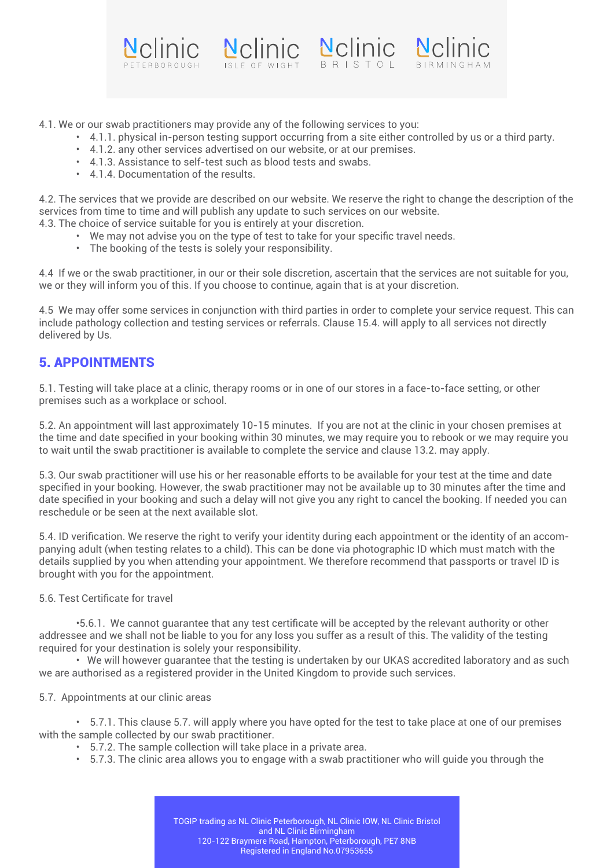

4.1. We or our swab practitioners may provide any of the following services to you:

- 4.1.1. physical in-person testing support occurring from a site either controlled by us or a third party.
	- 4.1.2. any other services advertised on our website, or at our premises.
	- 4.1.3. Assistance to self-test such as blood tests and swabs.
	- 4.1.4. Documentation of the results.

4.2. The services that we provide are described on our website. We reserve the right to change the description of the services from time to time and will publish any update to such services on our website.

- 4.3. The choice of service suitable for you is entirely at your discretion.
	- We may not advise you on the type of test to take for your specific travel needs.
	- The booking of the tests is solely your responsibility.

4.4 If we or the swab practitioner, in our or their sole discretion, ascertain that the services are not suitable for you, we or they will inform you of this. If you choose to continue, again that is at your discretion.

4.5 We may offer some services in conjunction with third parties in order to complete your service request. This can include pathology collection and testing services or referrals. Clause 15.4. will apply to all services not directly delivered by Us.

#### 5. APPOINTMENTS

5.1. Testing will take place at a clinic, therapy rooms or in one of our stores in a face-to-face setting, or other premises such as a workplace or school.

5.2. An appointment will last approximately 10-15 minutes. If you are not at the clinic in your chosen premises at the time and date specified in your booking within 30 minutes, we may require you to rebook or we may require you to wait until the swab practitioner is available to complete the service and clause 13.2. may apply.

5.3. Our swab practitioner will use his or her reasonable efforts to be available for your test at the time and date specified in your booking. However, the swab practitioner may not be available up to 30 minutes after the time and date specified in your booking and such a delay will not give you any right to cancel the booking. If needed you can reschedule or be seen at the next available slot.

5.4. ID verification. We reserve the right to verify your identity during each appointment or the identity of an accompanying adult (when testing relates to a child). This can be done via photographic ID which must match with the details supplied by you when attending your appointment. We therefore recommend that passports or travel ID is brought with you for the appointment.

5.6. Test Certificate for travel

 •5.6.1. We cannot guarantee that any test certificate will be accepted by the relevant authority or other addressee and we shall not be liable to you for any loss you suffer as a result of this. The validity of the testing required for your destination is solely your responsibility.

 • We will however guarantee that the testing is undertaken by our UKAS accredited laboratory and as such we are authorised as a registered provider in the United Kingdom to provide such services.

5.7. Appointments at our clinic areas

 • 5.7.1. This clause 5.7. will apply where you have opted for the test to take place at one of our premises with the sample collected by our swab practitioner.

- 5.7.2. The sample collection will take place in a private area.
- 5.7.3. The clinic area allows you to engage with a swab practitioner who will guide you through the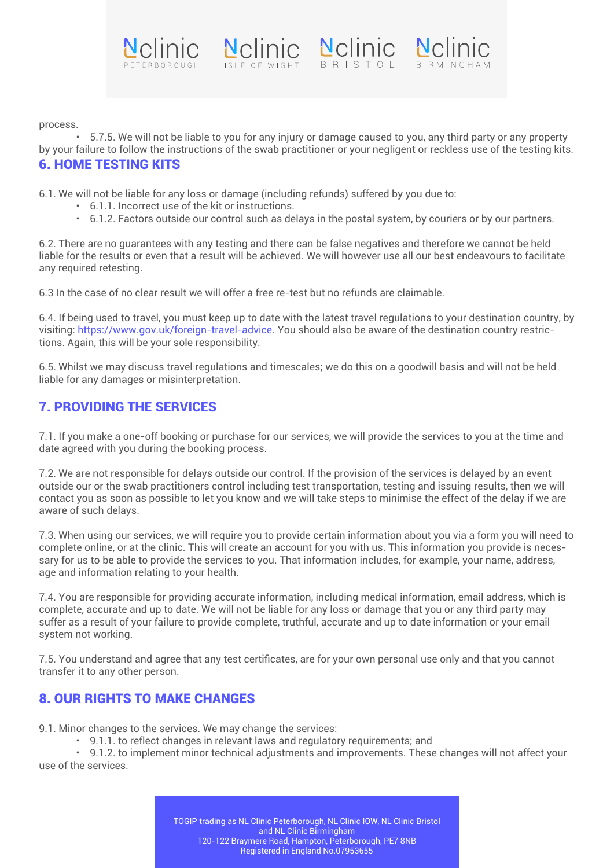



 • 5.7.5. We will not be liable to you for any injury or damage caused to you, any third party or any property by your failure to follow the instructions of the swab practitioner or your negligent or reckless use of the testing kits. 6. HOME TESTING KITS

6.1. We will not be liable for any loss or damage (including refunds) suffered by you due to:

- 6.1.1. Incorrect use of the kit or instructions.
- 6.1.2. Factors outside our control such as delays in the postal system, by couriers or by our partners.

6.2. There are no guarantees with any testing and there can be false negatives and therefore we cannot be held liable for the results or even that a result will be achieved. We will however use all our best endeavours to facilitate any required retesting.

6.3 In the case of no clear result we will offer a free re-test but no refunds are claimable.

6.4. If being used to travel, you must keep up to date with the latest travel regulations to your destination country, by visiting: https://www.gov.uk/foreign-travel-advice. You should also be aware of the destination country restrictions. Again, this will be your sole responsibility.

6.5. Whilst we may discuss travel regulations and timescales; we do this on a goodwill basis and will not be held liable for any damages or misinterpretation.

#### 7. PROVIDING THE SERVICES

7.1. If you make a one-off booking or purchase for our services, we will provide the services to you at the time and date agreed with you during the booking process.

7.2. We are not responsible for delays outside our control. If the provision of the services is delayed by an event outside our or the swab practitioners control including test transportation, testing and issuing results, then we will contact you as soon as possible to let you know and we will take steps to minimise the effect of the delay if we are aware of such delays.

7.3. When using our services, we will require you to provide certain information about you via a form you will need to complete online, or at the clinic. This will create an account for you with us. This information you provide is necessary for us to be able to provide the services to you. That information includes, for example, your name, address, age and information relating to your health.

7.4. You are responsible for providing accurate information, including medical information, email address, which is complete, accurate and up to date. We will not be liable for any loss or damage that you or any third party may suffer as a result of your failure to provide complete, truthful, accurate and up to date information or your email system not working.

7.5. You understand and agree that any test certificates, are for your own personal use only and that you cannot transfer it to any other person.

#### 8. OUR RIGHTS TO MAKE CHANGES

9.1. Minor changes to the services. We may change the services:

• 9.1.1. to reflect changes in relevant laws and regulatory requirements; and

 • 9.1.2. to implement minor technical adjustments and improvements. These changes will not affect your use of the services.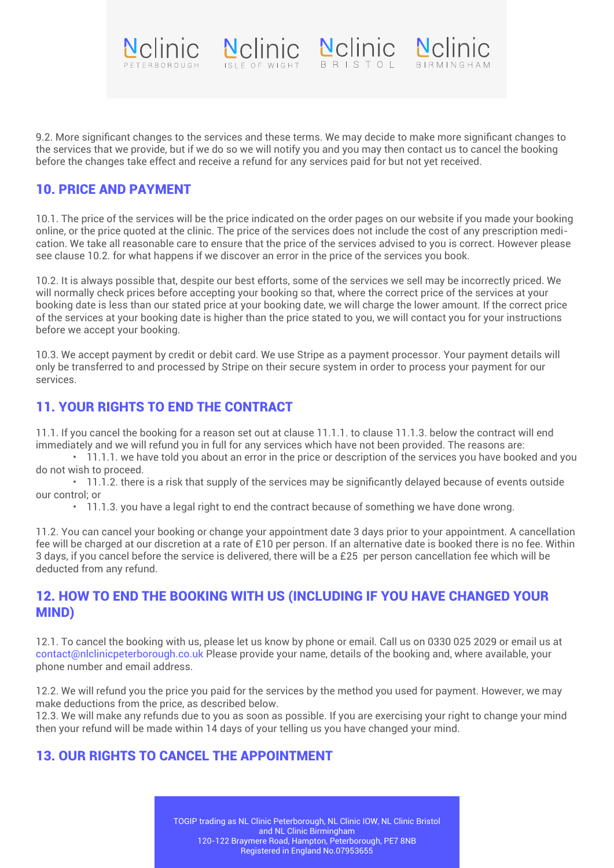9.2. More significant changes to the services and these terms. We may decide to make more significant changes to the services that we provide, but if we do so we will notify you and you may then contact us to cancel the booking before the changes take effect and receive a refund for any services paid for but not yet received.

Nelinie Nelinie Nelinie Nelinie

#### 10. PRICE AND PAYMENT

10.1. The price of the services will be the price indicated on the order pages on our website if you made your booking online, or the price quoted at the clinic. The price of the services does not include the cost of any prescription medication. We take all reasonable care to ensure that the price of the services advised to you is correct. However please see clause 10.2. for what happens if we discover an error in the price of the services you book.

10.2. It is always possible that, despite our best efforts, some of the services we sell may be incorrectly priced. We will normally check prices before accepting your booking so that, where the correct price of the services at your booking date is less than our stated price at your booking date, we will charge the lower amount. If the correct price of the services at your booking date is higher than the price stated to you, we will contact you for your instructions before we accept your booking.

10.3. We accept payment by credit or debit card. We use Stripe as a payment processor. Your payment details will only be transferred to and processed by Stripe on their secure system in order to process your payment for our services.

#### 11. YOUR RIGHTS TO END THE CONTRACT

11.1. If you cancel the booking for a reason set out at clause 11.1.1. to clause 11.1.3. below the contract will end immediately and we will refund you in full for any services which have not been provided. The reasons are:

 • 11.1.1. we have told you about an error in the price or description of the services you have booked and you do not wish to proceed.

 • 11.1.2. there is a risk that supply of the services may be significantly delayed because of events outside our control; or

• 11.1.3. you have a legal right to end the contract because of something we have done wrong.

11.2. You can cancel your booking or change your appointment date 3 days prior to your appointment. A cancellation fee will be charged at our discretion at a rate of £10 per person. If an alternative date is booked there is no fee. Within 3 days, if you cancel before the service is delivered, there will be a £25 per person cancellation fee which will be deducted from any refund.

#### 12. HOW TO END THE BOOKING WITH US (INCLUDING IF YOU HAVE CHANGED YOUR MIND)

12.1. To cancel the booking with us, please let us know by phone or email. Call us on 0330 025 2029 or email us at contact@nlclinicpeterborough.co.uk Please provide your name, details of the booking and, where available, your phone number and email address.

12.2. We will refund you the price you paid for the services by the method you used for payment. However, we may make deductions from the price, as described below.

12.3. We will make any refunds due to you as soon as possible. If you are exercising your right to change your mind then your refund will be made within 14 days of your telling us you have changed your mind.

### 13. OUR RIGHTS TO CANCEL THE APPOINTMENT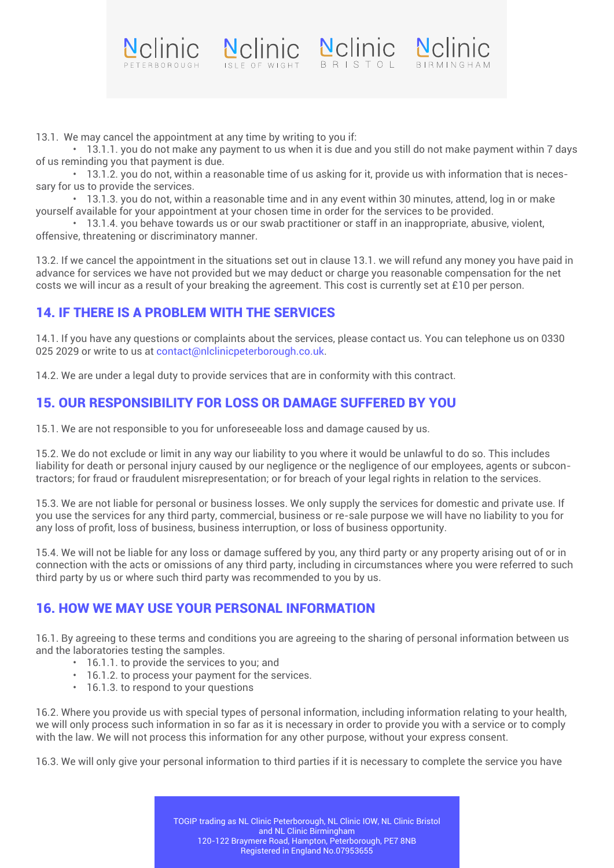

 • 13.1.1. you do not make any payment to us when it is due and you still do not make payment within 7 days of us reminding you that payment is due.

Nelinie Nelinie Nelinie Nelinie

 • 13.1.2. you do not, within a reasonable time of us asking for it, provide us with information that is necessary for us to provide the services.

 • 13.1.3. you do not, within a reasonable time and in any event within 30 minutes, attend, log in or make yourself available for your appointment at your chosen time in order for the services to be provided.

 • 13.1.4. you behave towards us or our swab practitioner or staff in an inappropriate, abusive, violent, offensive, threatening or discriminatory manner.

13.2. If we cancel the appointment in the situations set out in clause 13.1. we will refund any money you have paid in advance for services we have not provided but we may deduct or charge you reasonable compensation for the net costs we will incur as a result of your breaking the agreement. This cost is currently set at £10 per person.

### 14. IF THERE IS A PROBLEM WITH THE SERVICES

14.1. If you have any questions or complaints about the services, please contact us. You can telephone us on 0330 025 2029 or write to us at contact@nlclinicpeterborough.co.uk.

14.2. We are under a legal duty to provide services that are in conformity with this contract.

## 15. OUR RESPONSIBILITY FOR LOSS OR DAMAGE SUFFERED BY YOU

15.1. We are not responsible to you for unforeseeable loss and damage caused by us.

15.2. We do not exclude or limit in any way our liability to you where it would be unlawful to do so. This includes liability for death or personal injury caused by our negligence or the negligence of our employees, agents or subcontractors; for fraud or fraudulent misrepresentation; or for breach of your legal rights in relation to the services.

15.3. We are not liable for personal or business losses. We only supply the services for domestic and private use. If you use the services for any third party, commercial, business or re-sale purpose we will have no liability to you for any loss of profit, loss of business, business interruption, or loss of business opportunity.

15.4. We will not be liable for any loss or damage suffered by you, any third party or any property arising out of or in connection with the acts or omissions of any third party, including in circumstances where you were referred to such third party by us or where such third party was recommended to you by us.

## 16. HOW WE MAY USE YOUR PERSONAL INFORMATION

16.1. By agreeing to these terms and conditions you are agreeing to the sharing of personal information between us and the laboratories testing the samples.

- 16.1.1. to provide the services to you; and
- 16.1.2. to process your payment for the services.
- 16.1.3. to respond to your questions

16.2. Where you provide us with special types of personal information, including information relating to your health, we will only process such information in so far as it is necessary in order to provide you with a service or to comply with the law. We will not process this information for any other purpose, without your express consent.

16.3. We will only give your personal information to third parties if it is necessary to complete the service you have